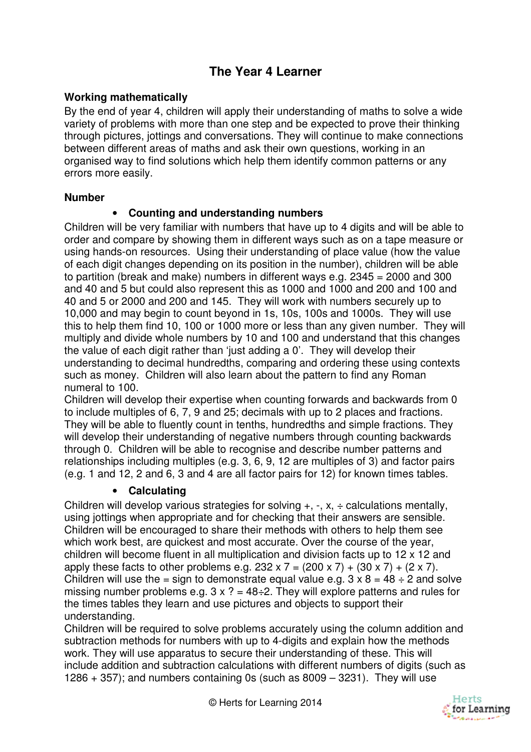# **The Year 4 Learner**

### **Working mathematically**

By the end of year 4, children will apply their understanding of maths to solve a wide variety of problems with more than one step and be expected to prove their thinking through pictures, jottings and conversations. They will continue to make connections between different areas of maths and ask their own questions, working in an organised way to find solutions which help them identify common patterns or any errors more easily.

#### **Number**

#### • **Counting and understanding numbers**

Children will be very familiar with numbers that have up to 4 digits and will be able to order and compare by showing them in different ways such as on a tape measure or using hands-on resources. Using their understanding of place value (how the value of each digit changes depending on its position in the number), children will be able to partition (break and make) numbers in different ways e.g. 2345 = 2000 and 300 and 40 and 5 but could also represent this as 1000 and 1000 and 200 and 100 and 40 and 5 or 2000 and 200 and 145. They will work with numbers securely up to 10,000 and may begin to count beyond in 1s, 10s, 100s and 1000s. They will use this to help them find 10, 100 or 1000 more or less than any given number. They will multiply and divide whole numbers by 10 and 100 and understand that this changes the value of each digit rather than 'just adding a 0'. They will develop their understanding to decimal hundredths, comparing and ordering these using contexts such as money. Children will also learn about the pattern to find any Roman numeral to 100.

Children will develop their expertise when counting forwards and backwards from 0 to include multiples of 6, 7, 9 and 25; decimals with up to 2 places and fractions. They will be able to fluently count in tenths, hundredths and simple fractions. They will develop their understanding of negative numbers through counting backwards through 0. Children will be able to recognise and describe number patterns and relationships including multiples (e.g. 3, 6, 9, 12 are multiples of 3) and factor pairs (e.g. 1 and 12, 2 and 6, 3 and 4 are all factor pairs for 12) for known times tables.

#### • **Calculating**

Children will develop various strategies for solving  $+$ ,  $-$ ,  $x$ ,  $\div$  calculations mentally, using jottings when appropriate and for checking that their answers are sensible. Children will be encouraged to share their methods with others to help them see which work best, are quickest and most accurate. Over the course of the year, children will become fluent in all multiplication and division facts up to 12 x 12 and apply these facts to other problems e.g.  $232 \times 7 = (200 \times 7) + (30 \times 7) + (2 \times 7)$ . Children will use the = sign to demonstrate equal value e.g.  $3 \times 8 = 48 \div 2$  and solve missing number problems e.g.  $3 \times ? = 48 \div 2$ . They will explore patterns and rules for the times tables they learn and use pictures and objects to support their understanding.

Children will be required to solve problems accurately using the column addition and subtraction methods for numbers with up to 4-digits and explain how the methods work. They will use apparatus to secure their understanding of these. This will include addition and subtraction calculations with different numbers of digits (such as 1286  $+$  357); and numbers containing 0s (such as 8009  $-$  3231). They will use